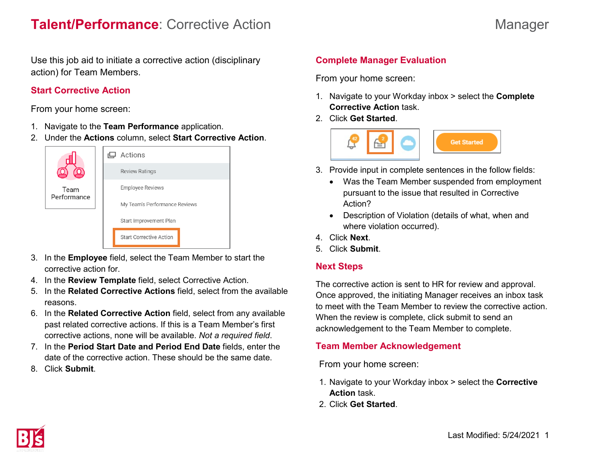Use this job aid to initiate a corrective action (disciplinary action) for Team Members.

#### **Start Corrective Action**

From your home screen:

- 1. Navigate to the **Team Performance** application.
- 2. Under the **Actions** column, select **Start Corrective Action**.



- 3. In the **Employee** field, select the Team Member to start the corrective action for.
- 4. In the **Review Template** field, select Corrective Action.
- 5. In the **Related Corrective Actions** field, select from the available reasons.
- 6. In the **Related Corrective Action** field, select from any available past related corrective actions. If this is a Team Member's first corrective actions, none will be available. *Not a required field*.
- 7. In the **Period Start Date and Period End Date** fields, enter the date of the corrective action. These should be the same date.
- 8. Click **Submit**.

# **Complete Manager Evaluation**

From your home screen:

- 1. Navigate to your Workday inbox > select the **Complete Corrective Action** task.
- 2. Click **Get Started**.



- 3. Provide input in complete sentences in the follow fields:
	- Was the Team Member suspended from employment pursuant to the issue that resulted in Corrective Action?
	- Description of Violation (details of what, when and where violation occurred).
- 4. Click **Next**.
- 5. Click **Submit**.

## **Next Steps**

The corrective action is sent to HR for review and approval. Once approved, the initiating Manager receives an inbox task to meet with the Team Member to review the corrective action. When the review is complete, click submit to send an acknowledgement to the Team Member to complete.

#### **Team Member Acknowledgement**

From your home screen:

- 1. Navigate to your Workday inbox > select the **Corrective Action** task.
- 2. Click **Get Started**.